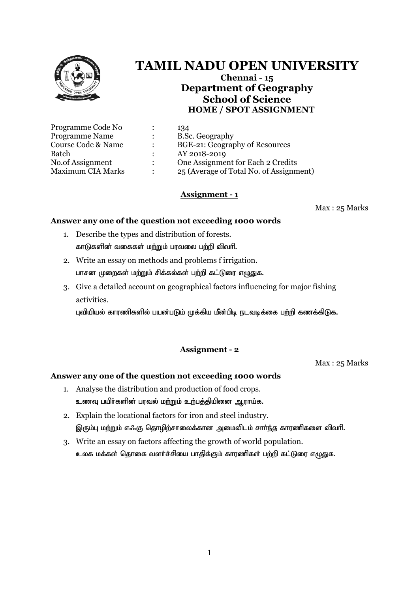

# **TAMIL NADU OPEN UNIVERSITY**

**Chennai - 15 Department of Geography School of Science HOME / SPOT ASSIGNMENT**

|                | 134                                     |
|----------------|-----------------------------------------|
|                | B.Sc. Geography                         |
|                | BGE-21: Geography of Resources          |
|                | AY 2018-2019                            |
| $\ddot{\cdot}$ | One Assignment for Each 2 Credits       |
|                | 25 (Average of Total No. of Assignment) |
|                |                                         |

# **Assignment - 1**

Max : 25 Marks

## **Answer any one of the question not exceeding 1000 words**

- 1. Describe the types and distribution of forests. காடுகளின் வகைகள் மற்றும் பரவலை பற்றி விவரி.
- 2. Write an essay on methods and problems f irrigation. பாசன முறைகள் மற்றும் சிக்கல்கள் பற்றி கட்டுரை எழுதுக.
- 3. Give a detailed account on geographical factors influencing for major fishing activities.

புவியியல் காரணிகளில் பயன்படும் முக்கிய மீன்பிடி நடவடிக்கை பற்றி கணக்கிடுக.

# **Assignment - 2**

Max : 25 Marks

- 1. Analyse the distribution and production of food crops. உணவு பயிர்களின் பரவல் மற்றும் உற்பத்தியினை ஆராய்க.
- 2. Explain the locational factors for iron and steel industry. இரும்பு மற்றும் எஃகு தொழிற்சாலைக்கான அமைவிடம் சார்ந்த காரணிகளை விவரி.
- 3. Write an essay on factors affecting the growth of world population. உலக மக்கள் தொகை வளர்ச்சியை பாதிக்கும் காரணிகள் பற்றி கட்டுரை எழுதுக.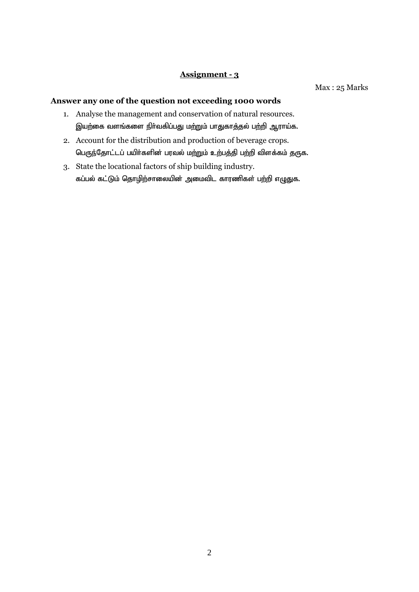## **Assignment - 3**

Max : 25 Marks

- 1. Analyse the management and conservation of natural resources. இயற்கை வளங்களை நிா்வகிப்பது மற்றும் பாதுகாத்தல் பற்றி ஆராய்க.
- 2. Account for the distribution and production of beverage crops. பெருந்தோட்டப் பயிர்களின் பரவல் மற்றும் உற்பத்தி பற்றி விளக்கம் தருக.
- 3. State the locational factors of ship building industry. கப்பல் கட்டும் தொழிற்சாலையின் அமைவிட காரணிகள் பற்றி எழுதுக.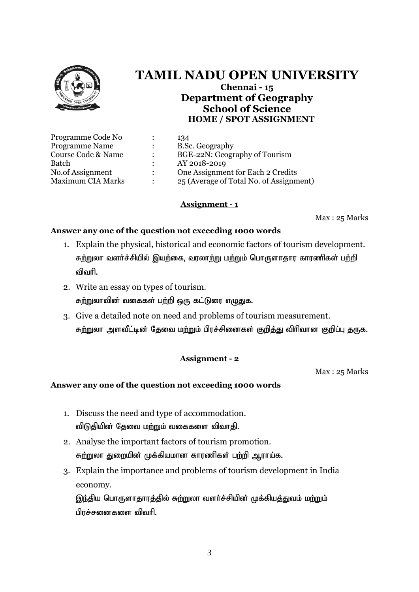

# **TAMIL NADU OPEN UNIVERSITY Chennai - 15 Department of Geography School of Science**

**HOME / SPOT ASSIGNMENT**

| Programme Code No        | 134                                     |
|--------------------------|-----------------------------------------|
| <b>Programme Name</b>    | B.Sc. Geography                         |
| Course Code & Name       | BGE-22N: Geography of Tourism           |
| Batch                    | AY 2018-2019                            |
| No.of Assignment         | One Assignment for Each 2 Credits       |
| <b>Maximum CIA Marks</b> | 25 (Average of Total No. of Assignment) |
|                          |                                         |

# **Assignment - 1**

Max : 25 Marks

# **Answer any one of the question not exceeding 1000 words**

- 1. Explain the physical, historical and economic factors of tourism development. சுற்றுலா வளர்ச்சியில் இயற்கை, வரலாற்று மற்றும் பொருளாதார காரணிகள் பற்றி விவரி.
- 2. Write an essay on types of tourism. சுற்றுலாவின் வகைகள் பற்றி ஒரு கட்டுரை எழுதுக.
- 3. Give a detailed note on need and problems of tourism measurement. சுற்றுலா அளவீட்டின் தேவை மற்றும் பிரச்சினைகள் குறித்து விரிவான குறிப்பு தருக.

# **Assignment - 2**

Max : 25 Marks

# **Answer any one of the question not exceeding 1000 words**

- 1. Discuss the need and type of accommodation. விடுதியின் தேவை மற்றும் வகைகளை விவாதி.
- 2. Analyse the important factors of tourism promotion. சுற்றுலா துறையின் முக்கியமான காரணிகள் பற்றி ஆராய்க.
- 3. Explain the importance and problems of tourism development in India economy.

இந்திய பொருளாதாரத்தில் சுற்றுலா வளர்ச்சியின் முக்கியத்துவம் மற்றும் பிாச்சனைகளை விவரி.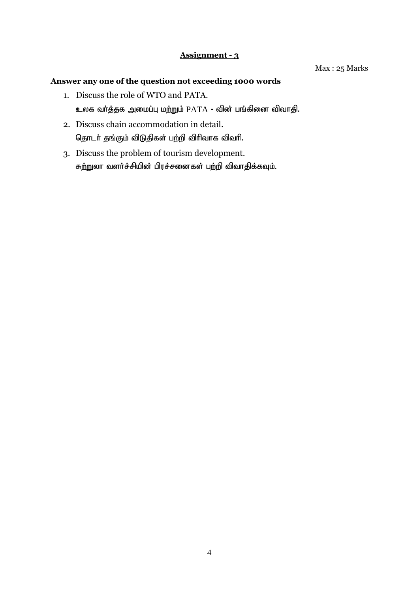## **Assignment - 3**

#### Max : 25 Marks

- 1. Discuss the role of WTO and PATA. உலக வர்த்தக அமைப்பு மற்றும்  $\rm {PATA}$  - வின் பங்கினை விவாதி.
- 2. Discuss chain accommodation in detail. தொடர் தங்கும் விடுதிகள் பற்றி விரிவாக விவரி.
- 3. Discuss the problem of tourism development. சுற்றுலா வளர்ச்சியின் பிரச்சனைகள் பற்றி விவாதிக்கவும்.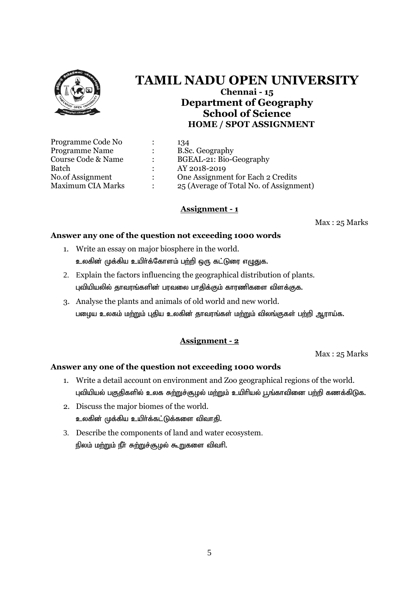

# **TAMIL NADU OPEN UNIVERSITY Chennai - 15 Department of Geography School of Science HOME / SPOT ASSIGNMENT**

| Programme Code No        |               | 134                                     |
|--------------------------|---------------|-----------------------------------------|
| <b>Programme Name</b>    |               | B.Sc. Geography                         |
| Course Code & Name       |               | BGEAL-21: Bio-Geography                 |
| Batch                    |               | AY 2018-2019                            |
| No.of Assignment         | $\mathcal{L}$ | One Assignment for Each 2 Credits       |
| <b>Maximum CIA Marks</b> |               | 25 (Average of Total No. of Assignment) |

## **Assignment - 1**

Max : 25 Marks

#### **Answer any one of the question not exceeding 1000 words**

- 1. Write an essay on major biosphere in the world. உலகின் முக்கிய உயிர்க்கோளம் பற்றி ஒரு கட்டுரை எழுதுக.
- 2. Explain the factors influencing the geographical distribution of plants. புவியியலில் தாவரங்களின் பரவலை பாதிக்கும் காரணிகளை விளக்குக.
- 3. Analyse the plants and animals of old world and new world. பழைய உலகம் மற்றும் புதிய உலகின் தாவரங்கள் மற்றும் விலங்குகள் பற்றி ஆராய்க.

# **Assignment - 2**

Max : 25 Marks

- 1. Write a detail account on environment and Zoo geographical regions of the world. புவியியல் பகுதிகளில் உலக சுற்றுச்சூழல் மற்றும் உயிரியல் பூங்காவினை பற்றி கணக்கிடுக.
- 2. Discuss the major biomes of the world. உலகின் முக்கிய உயிர்க்கட்டுக்களை விவாதி.
- 3. Describe the components of land and water ecosystem. நிலம் மற்றும் நீா் சுற்றுச்சூழல் கூறுகளை விவாி.